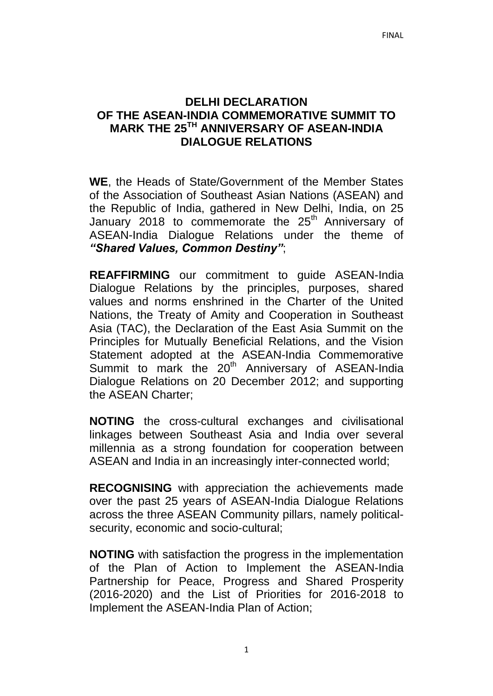#### **DELHI DECLARATION OF THE ASEAN-INDIA COMMEMORATIVE SUMMIT TO MARK THE 25TH ANNIVERSARY OF ASEAN-INDIA DIALOGUE RELATIONS**

**WE**, the Heads of State/Government of the Member States of the Association of Southeast Asian Nations (ASEAN) and the Republic of India, gathered in New Delhi, India, on 25 January 2018 to commemorate the  $25<sup>th</sup>$  Anniversary of ASEAN-India Dialogue Relations under the theme of *"Shared Values, Common Destiny"*;

**REAFFIRMING** our commitment to guide ASEAN-India Dialogue Relations by the principles, purposes, shared values and norms enshrined in the Charter of the United Nations, the Treaty of Amity and Cooperation in Southeast Asia (TAC), the Declaration of the East Asia Summit on the Principles for Mutually Beneficial Relations, and the Vision Statement adopted at the ASEAN-India Commemorative Summit to mark the  $20<sup>th</sup>$  Anniversary of ASEAN-India Dialogue Relations on 20 December 2012; and supporting the ASEAN Charter;

**NOTING** the cross-cultural exchanges and civilisational linkages between Southeast Asia and India over several millennia as a strong foundation for cooperation between ASEAN and India in an increasingly inter-connected world;

**RECOGNISING** with appreciation the achievements made over the past 25 years of ASEAN-India Dialogue Relations across the three ASEAN Community pillars, namely politicalsecurity, economic and socio-cultural;

**NOTING** with satisfaction the progress in the implementation of the Plan of Action to Implement the ASEAN-India Partnership for Peace, Progress and Shared Prosperity (2016-2020) and the List of Priorities for 2016-2018 to Implement the ASEAN-India Plan of Action;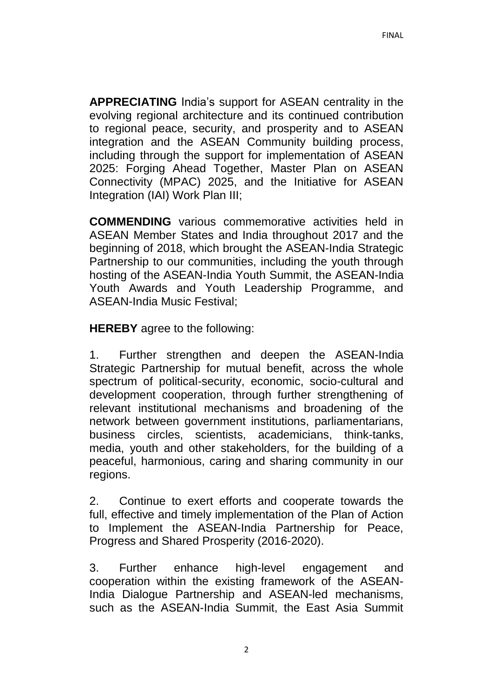**APPRECIATING** India's support for ASEAN centrality in the evolving regional architecture and its continued contribution to regional peace, security, and prosperity and to ASEAN integration and the ASEAN Community building process, including through the support for implementation of ASEAN 2025: Forging Ahead Together, Master Plan on ASEAN Connectivity (MPAC) 2025, and the Initiative for ASEAN Integration (IAI) Work Plan III;

**COMMENDING** various commemorative activities held in ASEAN Member States and India throughout 2017 and the beginning of 2018, which brought the ASEAN-India Strategic Partnership to our communities, including the youth through hosting of the ASEAN-India Youth Summit, the ASEAN-India Youth Awards and Youth Leadership Programme, and ASEAN-India Music Festival;

**HEREBY** agree to the following:

1. Further strengthen and deepen the ASEAN-India Strategic Partnership for mutual benefit, across the whole spectrum of political*-*security, economic, socio-cultural and development cooperation, through further strengthening of relevant institutional mechanisms and broadening of the network between government institutions, parliamentarians, business circles, scientists, academicians, think-tanks, media, youth and other stakeholders, for the building of a peaceful, harmonious, caring and sharing community in our regions.

2. Continue to exert efforts and cooperate towards the full, effective and timely implementation of the Plan of Action to Implement the ASEAN-India Partnership for Peace, Progress and Shared Prosperity (2016-2020).

3. Further enhance high-level engagement and cooperation within the existing framework of the ASEAN-India Dialogue Partnership and ASEAN-led mechanisms, such as the ASEAN-India Summit, the East Asia Summit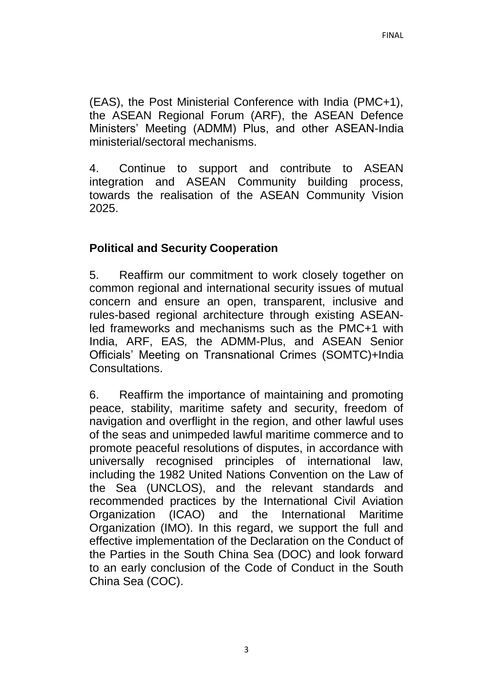(EAS), the Post Ministerial Conference with India (PMC+1), the ASEAN Regional Forum (ARF), the ASEAN Defence Ministers' Meeting (ADMM) Plus, and other ASEAN-India ministerial/sectoral mechanisms.

4. Continue to support and contribute to ASEAN integration and ASEAN Community building process, towards the realisation of the ASEAN Community Vision 2025.

# **Political and Security Cooperation**

5. Reaffirm our commitment to work closely together on common regional and international security issues of mutual concern and ensure an open, transparent, inclusive and rules-based regional architecture through existing ASEANled frameworks and mechanisms such as the PMC+1 with India, ARF, EAS*,* the ADMM-Plus, and ASEAN Senior Officials' Meeting on Transnational Crimes (SOMTC)+India Consultations.

6. Reaffirm the importance of maintaining and promoting peace, stability, maritime safety and security, freedom of navigation and overflight in the region, and other lawful uses of the seas and unimpeded lawful maritime commerce and to promote peaceful resolutions of disputes, in accordance with universally recognised principles of international law, including the 1982 United Nations Convention on the Law of the Sea (UNCLOS), and the relevant standards and recommended practices by the International Civil Aviation Organization (ICAO) and the International Maritime Organization (IMO). In this regard, we support the full and effective implementation of the Declaration on the Conduct of the Parties in the South China Sea (DOC) and look forward to an early conclusion of the Code of Conduct in the South China Sea (COC).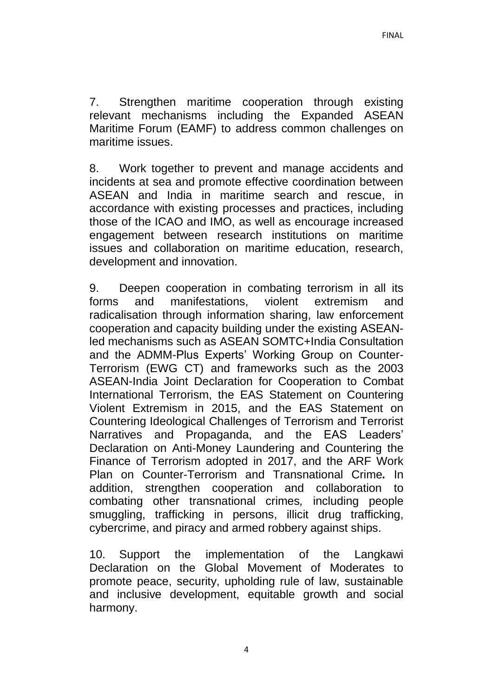7. Strengthen maritime cooperation through existing relevant mechanisms including the Expanded ASEAN Maritime Forum (EAMF) to address common challenges on maritime issues.

8. Work together to prevent and manage accidents and incidents at sea and promote effective coordination between ASEAN and India in maritime search and rescue, in accordance with existing processes and practices, including those of the ICAO and IMO, as well as encourage increased engagement between research institutions on maritime issues and collaboration on maritime education, research, development and innovation.

9. Deepen cooperation in combating terrorism in all its forms and manifestations, violent extremism and radicalisation through information sharing, law enforcement cooperation and capacity building under the existing ASEANled mechanisms such as ASEAN SOMTC+India Consultation and the ADMM-Plus Experts' Working Group on Counter-Terrorism (EWG CT) and frameworks such as the 2003 ASEAN-India Joint Declaration for Cooperation to Combat International Terrorism, the EAS Statement on Countering Violent Extremism in 2015, and the EAS Statement on Countering Ideological Challenges of Terrorism and Terrorist Narratives and Propaganda, and the EAS Leaders' Declaration on Anti-Money Laundering and Countering the Finance of Terrorism adopted in 2017, and the ARF Work Plan on Counter-Terrorism and Transnational Crime*.* In addition, strengthen cooperation and collaboration to combating other transnational crimes*,* including people smuggling, trafficking in persons, illicit drug trafficking, cybercrime, and piracy and armed robbery against ships.

10. Support the implementation of the Langkawi Declaration on the Global Movement of Moderates to promote peace, security, upholding rule of law, sustainable and inclusive development, equitable growth and social harmony.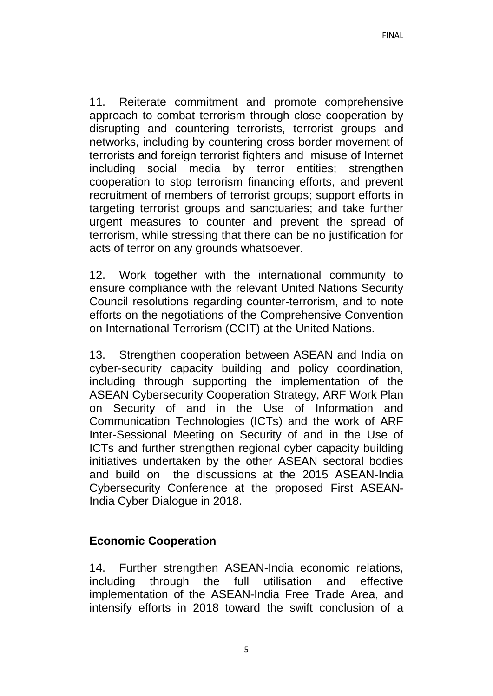11. Reiterate commitment and promote comprehensive approach to combat terrorism through close cooperation by disrupting and countering terrorists, terrorist groups and networks, including by countering cross border movement of terrorists and foreign terrorist fighters and misuse of Internet including social media by terror entities; strengthen cooperation to stop terrorism financing efforts, and prevent recruitment of members of terrorist groups; support efforts in targeting terrorist groups and sanctuaries; and take further urgent measures to counter and prevent the spread of terrorism, while stressing that there can be no justification for acts of terror on any grounds whatsoever.

12. Work together with the international community to ensure compliance with the relevant United Nations Security Council resolutions regarding counter-terrorism, and to note efforts on the negotiations of the Comprehensive Convention on International Terrorism (CCIT) at the United Nations.

13. Strengthen cooperation between ASEAN and India on cyber-security capacity building and policy coordination, including through supporting the implementation of the ASEAN Cybersecurity Cooperation Strategy, ARF Work Plan on Security of and in the Use of Information and Communication Technologies (ICTs) and the work of ARF Inter-Sessional Meeting on Security of and in the Use of ICTs and further strengthen regional cyber capacity building initiatives undertaken by the other ASEAN sectoral bodies and build on the discussions at the 2015 ASEAN-India Cybersecurity Conference at the proposed First ASEAN-India Cyber Dialogue in 2018.

### **Economic Cooperation**

14. Further strengthen ASEAN-India economic relations, including through the full utilisation and effective implementation of the ASEAN-India Free Trade Area, and intensify efforts in 2018 toward the swift conclusion of a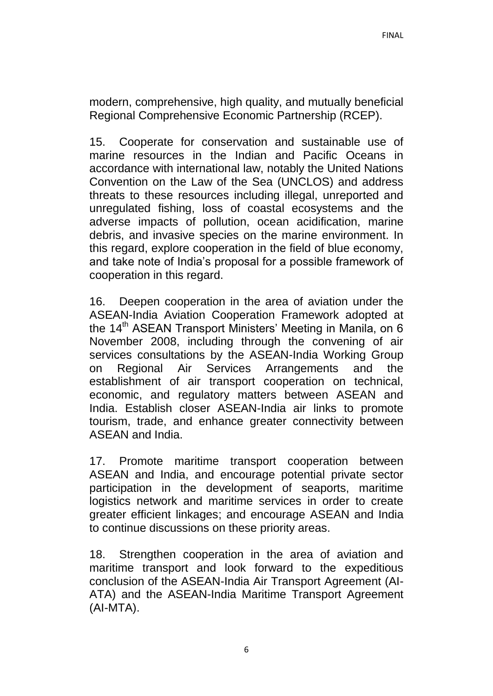modern, comprehensive, high quality, and mutually beneficial Regional Comprehensive Economic Partnership (RCEP).

15. Cooperate for conservation and sustainable use of marine resources in the Indian and Pacific Oceans in accordance with international law, notably the United Nations Convention on the Law of the Sea (UNCLOS) and address threats to these resources including illegal, unreported and unregulated fishing, loss of coastal ecosystems and the adverse impacts of pollution, ocean acidification, marine debris, and invasive species on the marine environment. In this regard, explore cooperation in the field of blue economy, and take note of India's proposal for a possible framework of cooperation in this regard.

16. Deepen cooperation in the area of aviation under the ASEAN-India Aviation Cooperation Framework adopted at the 14<sup>th</sup> ASEAN Transport Ministers' Meeting in Manila, on 6 November 2008, including through the convening of air services consultations by the ASEAN-India Working Group on Regional Air Services Arrangements and the establishment of air transport cooperation on technical, economic, and regulatory matters between ASEAN and India. Establish closer ASEAN-India air links to promote tourism, trade, and enhance greater connectivity between ASEAN and India.

17. Promote maritime transport cooperation between ASEAN and India, and encourage potential private sector participation in the development of seaports, maritime logistics network and maritime services in order to create greater efficient linkages; and encourage ASEAN and India to continue discussions on these priority areas.

18. Strengthen cooperation in the area of aviation and maritime transport and look forward to the expeditious conclusion of the ASEAN-India Air Transport Agreement (AI-ATA) and the ASEAN-India Maritime Transport Agreement (AI-MTA).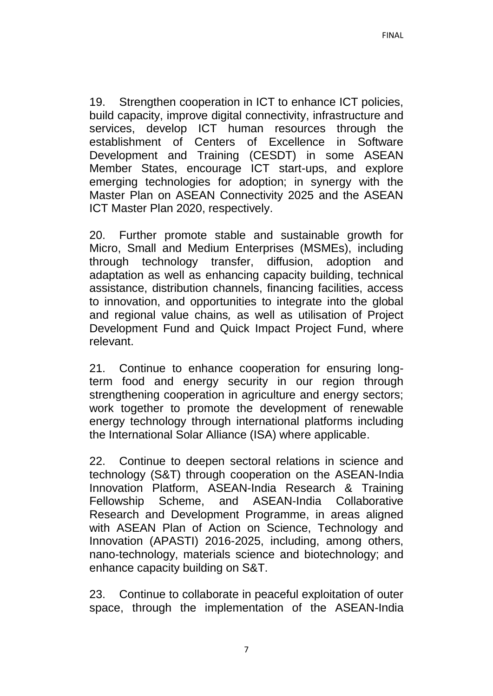19. Strengthen cooperation in ICT to enhance ICT policies, build capacity, improve digital connectivity, infrastructure and services, develop ICT human resources through the establishment of Centers of Excellence in Software Development and Training (CESDT) in some ASEAN Member States, encourage ICT start-ups, and explore emerging technologies for adoption; in synergy with the Master Plan on ASEAN Connectivity 2025 and the ASEAN ICT Master Plan 2020, respectively.

20. Further promote stable and sustainable growth for Micro, Small and Medium Enterprises (MSMEs), including through technology transfer, diffusion, adoption and adaptation as well as enhancing capacity building, technical assistance, distribution channels, financing facilities, access to innovation, and opportunities to integrate into the global and regional value chains*,* as well as utilisation of Project Development Fund and Quick Impact Project Fund, where relevant.

21. Continue to enhance cooperation for ensuring longterm food and energy security in our region through strengthening cooperation in agriculture and energy sectors; work together to promote the development of renewable energy technology through international platforms including the International Solar Alliance (ISA) where applicable.

22. Continue to deepen sectoral relations in science and technology (S&T) through cooperation on the ASEAN-India Innovation Platform, ASEAN-India Research & Training Fellowship Scheme, and ASEAN-India Collaborative Research and Development Programme, in areas aligned with ASEAN Plan of Action on Science, Technology and Innovation (APASTI) 2016-2025, including, among others, nano-technology, materials science and biotechnology; and enhance capacity building on S&T.

23. Continue to collaborate in peaceful exploitation of outer space, through the implementation of the ASEAN-India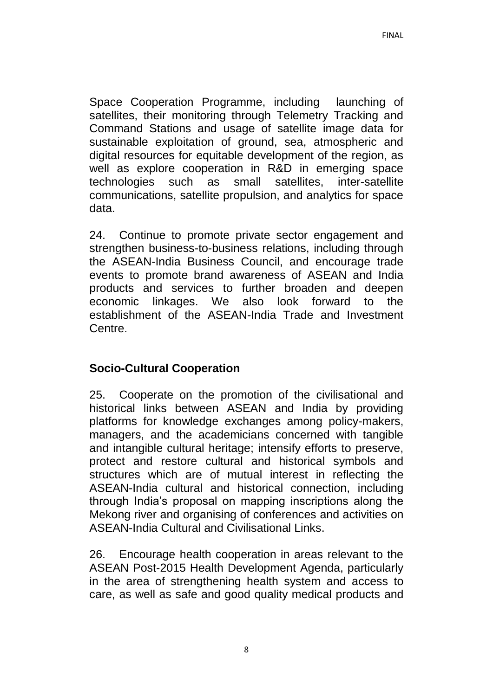Space Cooperation Programme, including launching of satellites, their monitoring through Telemetry Tracking and Command Stations and usage of satellite image data for sustainable exploitation of ground, sea, atmospheric and digital resources for equitable development of the region, as well as explore cooperation in R&D in emerging space technologies such as small satellites, inter-satellite communications, satellite propulsion, and analytics for space data.

24. Continue to promote private sector engagement and strengthen business-to-business relations, including through the ASEAN-India Business Council, and encourage trade events to promote brand awareness of ASEAN and India products and services to further broaden and deepen economic linkages. We also look forward to the establishment of the ASEAN-India Trade and Investment Centre.

### **Socio-Cultural Cooperation**

25. Cooperate on the promotion of the civilisational and historical links between ASEAN and India by providing platforms for knowledge exchanges among policy-makers, managers, and the academicians concerned with tangible and intangible cultural heritage; intensify efforts to preserve, protect and restore cultural and historical symbols and structures which are of mutual interest in reflecting the ASEAN-India cultural and historical connection, including through India's proposal on mapping inscriptions along the Mekong river and organising of conferences and activities on ASEAN-India Cultural and Civilisational Links.

26. Encourage health cooperation in areas relevant to the ASEAN Post-2015 Health Development Agenda, particularly in the area of strengthening health system and access to care, as well as safe and good quality medical products and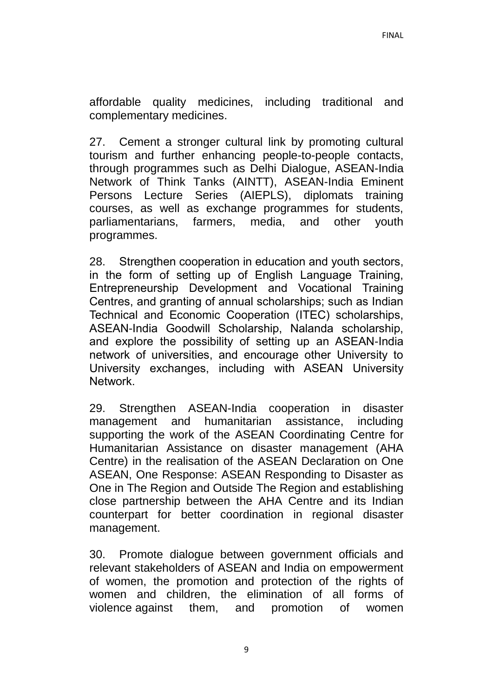affordable quality medicines, including traditional and complementary medicines.

27. Cement a stronger cultural link by promoting cultural tourism and further enhancing people-to-people contacts, through programmes such as Delhi Dialogue, ASEAN-India Network of Think Tanks (AINTT), ASEAN-India Eminent Persons Lecture Series (AIEPLS), diplomats training courses, as well as exchange programmes for students, parliamentarians, farmers, media, and other youth programmes.

28. Strengthen cooperation in education and youth sectors, in the form of setting up of English Language Training, Entrepreneurship Development and Vocational Training Centres, and granting of annual scholarships; such as Indian Technical and Economic Cooperation (ITEC) scholarships, ASEAN-India Goodwill Scholarship, Nalanda scholarship, and explore the possibility of setting up an ASEAN-India network of universities, and encourage other University to University exchanges, including with ASEAN University Network.

29. Strengthen ASEAN-India cooperation in disaster management and humanitarian assistance, including supporting the work of the ASEAN Coordinating Centre for Humanitarian Assistance on disaster management (AHA Centre) in the realisation of the ASEAN Declaration on One ASEAN, One Response: ASEAN Responding to Disaster as One in The Region and Outside The Region and establishing close partnership between the AHA Centre and its Indian counterpart for better coordination in regional disaster management.

30. Promote dialogue between government officials and relevant stakeholders of ASEAN and India on empowerment of women, the promotion and protection of the rights of women and children, the elimination of all forms of violence against them, and promotion of women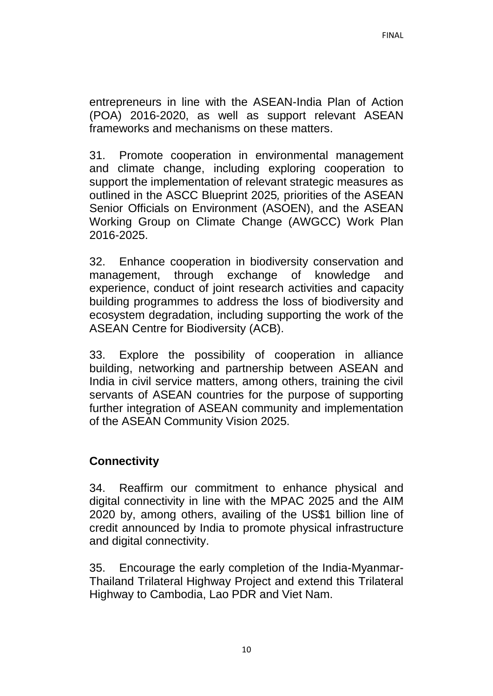entrepreneurs in line with the ASEAN-India Plan of Action (POA) 2016-2020, as well as support relevant ASEAN frameworks and mechanisms on these matters.

31. Promote cooperation in environmental management and climate change, including exploring cooperation to support the implementation of relevant strategic measures as outlined in the ASCC Blueprint 2025*,* priorities of the ASEAN Senior Officials on Environment (ASOEN), and the ASEAN Working Group on Climate Change (AWGCC) Work Plan 2016-2025.

32. Enhance cooperation in biodiversity conservation and management, through exchange of knowledge and experience, conduct of joint research activities and capacity building programmes to address the loss of biodiversity and ecosystem degradation, including supporting the work of the ASEAN Centre for Biodiversity (ACB).

33. Explore the possibility of cooperation in alliance building, networking and partnership between ASEAN and India in civil service matters, among others, training the civil servants of ASEAN countries for the purpose of supporting further integration of ASEAN community and implementation of the ASEAN Community Vision 2025.

# **Connectivity**

34. Reaffirm our commitment to enhance physical and digital connectivity in line with the MPAC 2025 and the AIM 2020 by, among others, availing of the US\$1 billion line of credit announced by India to promote physical infrastructure and digital connectivity.

35. Encourage the early completion of the India-Myanmar-Thailand Trilateral Highway Project and extend this Trilateral Highway to Cambodia, Lao PDR and Viet Nam.